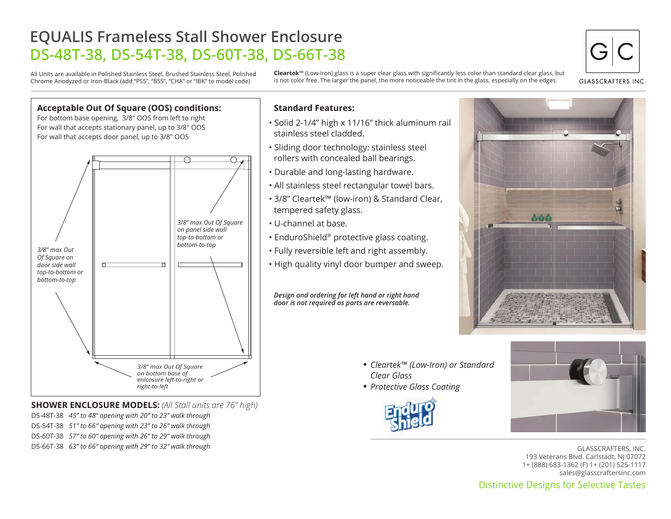# **EQUALIS Frameless Stall Shower Enclosure DS-48T-38, DS-54T-38, DS-60T-38, DS-66T-38**

All Units are available in Polished Stainless Steel, Brushed Stainless Steel, Polished Chrome Anodyzed or Iron-Black (add "PSS", "BSS", "CHA" or "IBK" to model code)

**Cleartek**™ (Low-iron) glass is a super clear glass with significantly less color than standard clear glass, but is not color free. The larger the panel, the more noticeable the tint in the glass, especially on the edges.



**GLASSCRAFTERS INC** 



**SHOWER ENCLOSURE MODELS:** *(All Stall units are 76" high)* DS-48T-38 *45" to 48" opening with 20" to 23" walk through* DS-54T-38 *51" to 66" opening with 23" to 26" walk through* DS-60T-38 *57" to 60" opening with 26" to 29" walk through* DS-66T-38 *63" to 66" opening with 29" to 32" walk through*

### **Standard Features:**

- Solid 2-1/4" high x 11/16" thick aluminum rail stainless steel cladded.
- Sliding door technology: stainless steel rollers with concealed ball bearings.
- Durable and long-lasting hardware.
- All stainless steel rectangular towel bars.
- 3/8" Cleartek™ (low-iron) & Standard Clear, tempered safety glass.
- U-channel at base.
- EnduroShield® protective glass coating.
- Fully reversible left and right assembly.
- High quality vinyl door bumper and sweep.

*Design and ordering for left hand or right hand door is not required as parts are reversable.*



- *Cleartek™ (Low-Iron) or Standard*  •*Clear Glass*
- *Protective Glass Coating* •





GLASSCRAFTERS, INC. 193 Veterans Blvd. Carlstadt, NJ 07072 1+ (888) 683-1362 (F) 1+ (201) 525-1117 sales@glasscraftersinc.com

Distinctive Designs for Selective Tastes